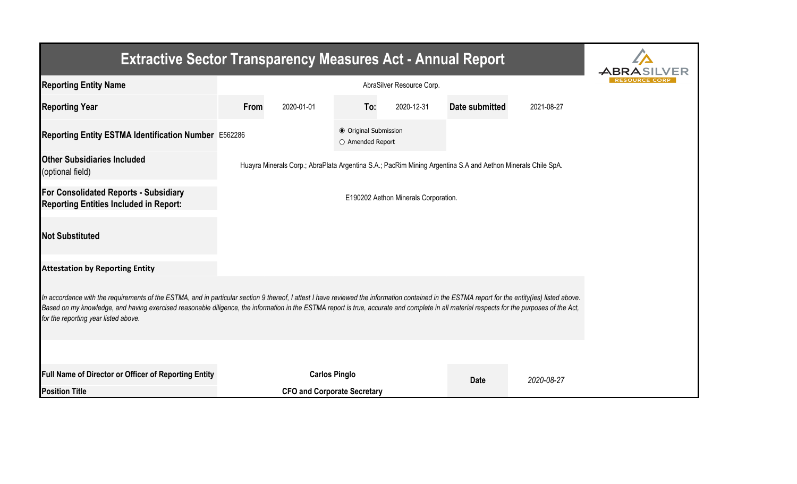| <b>Extractive Sector Transparency Measures Act - Annual Report</b>                                                                                                                                                                                                                                                                                                                                                                    |      |                                      |                                           |            |                                                                                                             |            |  |  |  |  |
|---------------------------------------------------------------------------------------------------------------------------------------------------------------------------------------------------------------------------------------------------------------------------------------------------------------------------------------------------------------------------------------------------------------------------------------|------|--------------------------------------|-------------------------------------------|------------|-------------------------------------------------------------------------------------------------------------|------------|--|--|--|--|
| <b>Reporting Entity Name</b>                                                                                                                                                                                                                                                                                                                                                                                                          |      |                                      |                                           |            |                                                                                                             |            |  |  |  |  |
| <b>Reporting Year</b>                                                                                                                                                                                                                                                                                                                                                                                                                 | From | 2020-01-01                           | To:                                       | 2020-12-31 | Date submitted                                                                                              | 2021-08-27 |  |  |  |  |
| Reporting Entity ESTMA Identification Number E562286                                                                                                                                                                                                                                                                                                                                                                                  |      |                                      | ● Original Submission<br>O Amended Report |            |                                                                                                             |            |  |  |  |  |
| <b>Other Subsidiaries Included</b><br>(optional field)                                                                                                                                                                                                                                                                                                                                                                                |      |                                      |                                           |            | Huayra Minerals Corp.; AbraPlata Argentina S.A.; PacRim Mining Argentina S.A and Aethon Minerals Chile SpA. |            |  |  |  |  |
| <b>For Consolidated Reports - Subsidiary</b><br><b>Reporting Entities Included in Report:</b>                                                                                                                                                                                                                                                                                                                                         |      | E190202 Aethon Minerals Corporation. |                                           |            |                                                                                                             |            |  |  |  |  |
| <b>Not Substituted</b>                                                                                                                                                                                                                                                                                                                                                                                                                |      |                                      |                                           |            |                                                                                                             |            |  |  |  |  |
| <b>Attestation by Reporting Entity</b>                                                                                                                                                                                                                                                                                                                                                                                                |      |                                      |                                           |            |                                                                                                             |            |  |  |  |  |
| In accordance with the requirements of the ESTMA, and in particular section 9 thereof, I attest I have reviewed the information contained in the ESTMA report for the entity(ies) listed above.<br>Based on my knowledge, and having exercised reasonable diligence, the information in the ESTMA report is true, accurate and complete in all material respects for the purposes of the Act,<br>for the reporting year listed above. |      |                                      |                                           |            |                                                                                                             |            |  |  |  |  |
|                                                                                                                                                                                                                                                                                                                                                                                                                                       |      |                                      |                                           |            |                                                                                                             |            |  |  |  |  |
| <b>Full Name of Director or Officer of Reporting Entity</b>                                                                                                                                                                                                                                                                                                                                                                           |      | <b>Carlos Pinglo</b>                 |                                           |            | <b>Date</b>                                                                                                 | 2020-08-27 |  |  |  |  |
| <b>Position Title</b>                                                                                                                                                                                                                                                                                                                                                                                                                 |      | <b>CFO and Corporate Secretary</b>   |                                           |            |                                                                                                             |            |  |  |  |  |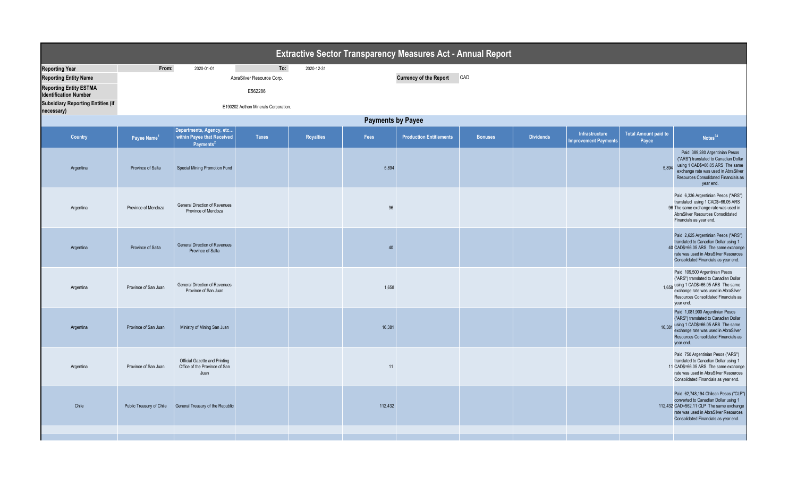|                                          |                          |                                                                                 |                                      |                  |         | <b>Extractive Sector Transparency Measures Act - Annual Report</b> |                |                  |                                               |                                      |                                                                                                                                                                                                                   |
|------------------------------------------|--------------------------|---------------------------------------------------------------------------------|--------------------------------------|------------------|---------|--------------------------------------------------------------------|----------------|------------------|-----------------------------------------------|--------------------------------------|-------------------------------------------------------------------------------------------------------------------------------------------------------------------------------------------------------------------|
| <b>Reporting Year</b>                    | From:                    | 2020-01-01                                                                      | To:                                  | 2020-12-31       |         |                                                                    |                |                  |                                               |                                      |                                                                                                                                                                                                                   |
| <b>Reporting Entity Name</b>             |                          |                                                                                 | AbraSilver Resource Corp.            |                  |         | <b>Currency of the Report</b>                                      | CAD            |                  |                                               |                                      |                                                                                                                                                                                                                   |
| <b>Reporting Entity ESTMA</b>            |                          |                                                                                 |                                      |                  |         |                                                                    |                |                  |                                               |                                      |                                                                                                                                                                                                                   |
| <b>Identification Number</b>             |                          |                                                                                 | E562286                              |                  |         |                                                                    |                |                  |                                               |                                      |                                                                                                                                                                                                                   |
| <b>Subsidiary Reporting Entities (if</b> |                          |                                                                                 | E190202 Aethon Minerals Corporation. |                  |         |                                                                    |                |                  |                                               |                                      |                                                                                                                                                                                                                   |
| necessary)                               |                          |                                                                                 |                                      |                  |         |                                                                    |                |                  |                                               |                                      |                                                                                                                                                                                                                   |
| <b>Payments by Payee</b>                 |                          |                                                                                 |                                      |                  |         |                                                                    |                |                  |                                               |                                      |                                                                                                                                                                                                                   |
| Country                                  | Payee Name <sup>1</sup>  | Departments, Agency, etc<br>within Payee that Received<br>Payments <sup>2</sup> | <b>Taxes</b>                         | <b>Royalties</b> | Fees    | <b>Production Entitlements</b>                                     | <b>Bonuses</b> | <b>Dividends</b> | Infrastructure<br><b>Improvement Payments</b> | <b>Total Amount paid to</b><br>Payee | Notes <sup>34</sup>                                                                                                                                                                                               |
| Argentina                                | Province of Salta        | Special Mining Promotion Fund                                                   |                                      |                  | 5,894   |                                                                    |                |                  |                                               | 5,894                                | Paid 389,280 Argentinian Pesos<br>("ARS") translated to Canadian Dollar<br>using 1 CAD\$=66.05 ARS The same<br>exchange rate was used in AbraSilver<br>Resources Consolidated Financials as<br>year end.          |
| Argentina                                | Province of Mendoza      | General Direction of Revenues<br>Province of Mendoza                            |                                      |                  | 96      |                                                                    |                |                  |                                               |                                      | Paid 6,336 Argentinian Pesos ("ARS")<br>translated using 1 CAD\$=66.05 ARS<br>96 The same exchange rate was used in<br>AbraSilver Resources Consolidated<br>Financials as year end.                               |
| Argentina                                | Province of Salta        | <b>General Direction of Revenues</b><br>Province of Salta                       |                                      |                  | 40      |                                                                    |                |                  |                                               |                                      | Paid 2,625 Argentinian Pesos ("ARS")<br>translated to Canadian Dollar using 1<br>40 CAD\$=66.05 ARS The same exchange<br>rate was used in AbraSilver Resources<br>Consolidated Financials as year end.            |
| Argentina                                | Province of San Juan     | General Direction of Revenues<br>Province of San Juan                           |                                      |                  | 1,658   |                                                                    |                |                  |                                               |                                      | Paid 109,500 Argentinian Pesos<br>("ARS") translated to Canadian Dollar<br>1,658 using 1 CAD\$=66.05 ARS The same<br>exchange rate was used in AbraSilver<br>Resources Consolidated Financials as<br>year end.    |
| Argentina                                | Province of San Juan     | Ministry of Mining San Juan                                                     |                                      |                  | 16,381  |                                                                    |                |                  |                                               |                                      | Paid 1,081,900 Argentinian Pesos<br>("ARS") translated to Canadian Dollar<br>16,381 using 1 CAD\$=66.05 ARS The same<br>exchange rate was used in AbraSilver<br>Resources Consolidated Financials as<br>year end. |
| Argentina                                | Province of San Juan     | Official Gazette and Printing<br>Office of the Province of San<br>Juan          |                                      |                  | 11      |                                                                    |                |                  |                                               |                                      | Paid 750 Argentinian Pesos ("ARS")<br>translated to Canadian Dollar using 1<br>11 CAD\$=66.05 ARS The same exchange<br>rate was used in AbraSilver Resources<br>Consolidated Financials as year end.              |
| Chile                                    | Public Treasury of Chile | General Treasury of the Republic                                                |                                      |                  | 112,432 |                                                                    |                |                  |                                               |                                      | Paid 62,748,194 Chilean Pesos ("CLP")<br>converted to Canadian Dollar using 1<br>112,432 CAD=562.11 CLP The same exchange<br>rate was used in AbraSilver Resources<br>Consolidated Financials as year end.        |
|                                          |                          |                                                                                 |                                      |                  |         |                                                                    |                |                  |                                               |                                      |                                                                                                                                                                                                                   |
|                                          |                          |                                                                                 |                                      |                  |         |                                                                    |                |                  |                                               |                                      |                                                                                                                                                                                                                   |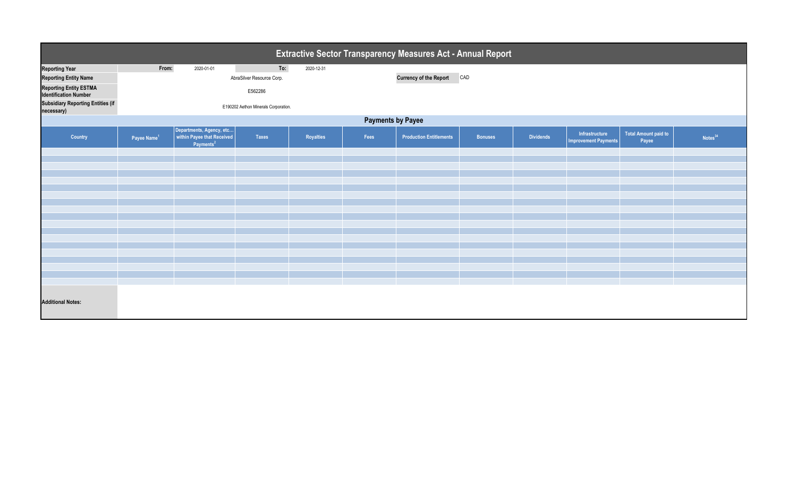|                                                               |                          |                                                                                 |                                      |            |      | Extractive Sector Transparency Measures Act - Annual Report |                |                  |                                               |                                      |                     |
|---------------------------------------------------------------|--------------------------|---------------------------------------------------------------------------------|--------------------------------------|------------|------|-------------------------------------------------------------|----------------|------------------|-----------------------------------------------|--------------------------------------|---------------------|
| <b>Reporting Year</b>                                         | From:                    | 2020-01-01                                                                      | To:                                  | 2020-12-31 |      |                                                             |                |                  |                                               |                                      |                     |
| <b>Reporting Entity Name</b>                                  |                          |                                                                                 | AbraSilver Resource Corp.            |            |      | <b>Currency of the Report</b>                               | CAD            |                  |                                               |                                      |                     |
| <b>Reporting Entity ESTMA</b><br><b>Identification Number</b> |                          |                                                                                 | E562286                              |            |      |                                                             |                |                  |                                               |                                      |                     |
| <b>Subsidiary Reporting Entities (if</b><br>necessary)        |                          |                                                                                 | E190202 Aethon Minerals Corporation. |            |      |                                                             |                |                  |                                               |                                      |                     |
|                                                               | <b>Payments by Payee</b> |                                                                                 |                                      |            |      |                                                             |                |                  |                                               |                                      |                     |
| Country                                                       | Payee Name <sup>1</sup>  | Departments, Agency, etc<br>within Payee that Received<br>Payments <sup>2</sup> | Taxes                                | Royalties  | Fees | <b>Production Entitlements</b>                              | <b>Bonuses</b> | <b>Dividends</b> | Infrastructure<br><b>Improvement Payments</b> | <b>Total Amount paid to</b><br>Payee | Notes <sup>34</sup> |
|                                                               |                          |                                                                                 |                                      |            |      |                                                             |                |                  |                                               |                                      |                     |
|                                                               |                          |                                                                                 |                                      |            |      |                                                             |                |                  |                                               |                                      |                     |
|                                                               |                          |                                                                                 |                                      |            |      |                                                             |                |                  |                                               |                                      |                     |
|                                                               |                          |                                                                                 |                                      |            |      |                                                             |                |                  |                                               |                                      |                     |
|                                                               |                          |                                                                                 |                                      |            |      |                                                             |                |                  |                                               |                                      |                     |
|                                                               |                          |                                                                                 |                                      |            |      |                                                             |                |                  |                                               |                                      |                     |
|                                                               |                          |                                                                                 |                                      |            |      |                                                             |                |                  |                                               |                                      |                     |
|                                                               |                          |                                                                                 |                                      |            |      |                                                             |                |                  |                                               |                                      |                     |
|                                                               |                          |                                                                                 |                                      |            |      |                                                             |                |                  |                                               |                                      |                     |
|                                                               |                          |                                                                                 |                                      |            |      |                                                             |                |                  |                                               |                                      |                     |
|                                                               |                          |                                                                                 |                                      |            |      |                                                             |                |                  |                                               |                                      |                     |
|                                                               |                          |                                                                                 |                                      |            |      |                                                             |                |                  |                                               |                                      |                     |
|                                                               |                          |                                                                                 |                                      |            |      |                                                             |                |                  |                                               |                                      |                     |
|                                                               |                          |                                                                                 |                                      |            |      |                                                             |                |                  |                                               |                                      |                     |
|                                                               |                          |                                                                                 |                                      |            |      |                                                             |                |                  |                                               |                                      |                     |
|                                                               |                          |                                                                                 |                                      |            |      |                                                             |                |                  |                                               |                                      |                     |
| <b>Additional Notes:</b>                                      |                          |                                                                                 |                                      |            |      |                                                             |                |                  |                                               |                                      |                     |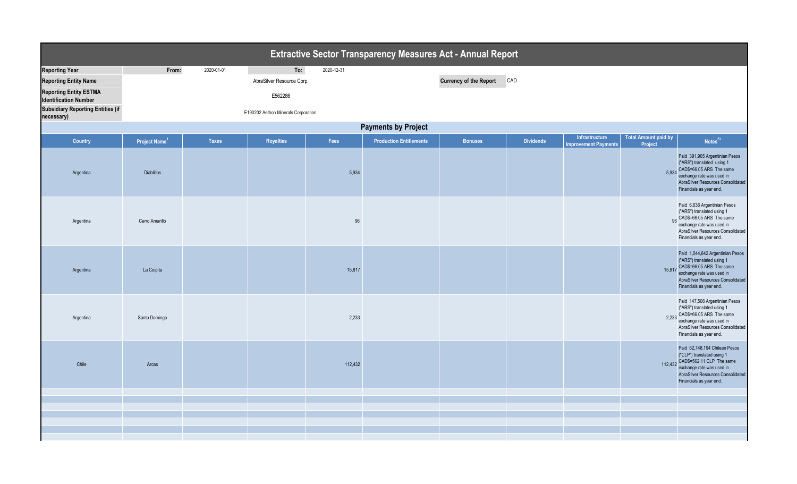|                            |              |           |            | <b>Extractive Sector Transparency Measures Act - Annual Report</b> |                               |                  |                             |                |                                                                                                                                                                                               |  |
|----------------------------|--------------|-----------|------------|--------------------------------------------------------------------|-------------------------------|------------------|-----------------------------|----------------|-----------------------------------------------------------------------------------------------------------------------------------------------------------------------------------------------|--|
| From:                      | 2020-01-01   | To:       | 2020-12-31 |                                                                    |                               |                  |                             |                |                                                                                                                                                                                               |  |
|                            |              |           |            |                                                                    | <b>Currency of the Report</b> |                  |                             |                |                                                                                                                                                                                               |  |
|                            |              | E562286   |            |                                                                    |                               |                  |                             |                |                                                                                                                                                                                               |  |
|                            |              |           |            |                                                                    |                               |                  |                             |                |                                                                                                                                                                                               |  |
| <b>Payments by Project</b> |              |           |            |                                                                    |                               |                  |                             |                |                                                                                                                                                                                               |  |
| Project Name <sup>1</sup>  | <b>Taxes</b> | Royalties | Fees       | <b>Production Entitlements</b>                                     | <b>Bonuses</b>                | <b>Dividends</b> | <b>Improvement Payments</b> | Project        | Notes <sup>23</sup>                                                                                                                                                                           |  |
| <b>Diablillos</b>          |              |           | 5,934      |                                                                    |                               |                  |                             |                | Paid 391,905 Argentinian Pesos<br>("ARS") translated using 1<br>5,934 CAD\$=66.05 ARS The same<br>exchange rate was used in<br>AbraSilver Resources Consolidated<br>Financials as year end.   |  |
| Cerro Amarillo             |              |           | 96         |                                                                    |                               |                  |                             |                | Paid 6.636 Argentinian Pesos<br>("ARS") translated using 1<br>96 CAD\$=66.05 ARS The same<br>exchange rate was used in<br>AbraSilver Resources Consolidated<br>Financials as year end.        |  |
| La Coipita                 |              |           | 15,817     |                                                                    |                               |                  |                             | 15,817         | Paid 1,044,642 Argentinian Pesos<br>("ARS") translated using 1<br>CAD\$=66.05 ARS The same<br>exchange rate was used in<br>AbraSilver Resources Consolidated<br>Financials as year end.       |  |
| Santo Domingo              |              |           | 2,233      |                                                                    |                               |                  |                             |                | Paid 147,508 Argentinian Pesos<br>("ARS") translated using 1<br>2,233 CAD\$=66.05 ARS The same<br>exchange rate was used in<br>AbraSilver Resources Consolidated<br>Financials as year end.   |  |
| Arcas                      |              |           | 112,432    |                                                                    |                               |                  |                             |                | Paid 62,748,194 Chilean Pesos<br>("CLP") translated using 1<br>112,432 CAD\$=562.11 CLP The same<br>exchange rate was used in<br>AbraSilver Resources Consolidated<br>Financials as year end. |  |
|                            |              |           |            |                                                                    |                               |                  |                             |                |                                                                                                                                                                                               |  |
|                            |              |           |            |                                                                    |                               |                  |                             |                |                                                                                                                                                                                               |  |
|                            |              |           |            |                                                                    |                               |                  |                             |                |                                                                                                                                                                                               |  |
|                            |              |           |            | AbraSilver Resource Corp.<br>E190202 Aethon Minerals Corporation.  |                               |                  | CAD                         | Infrastructure | <b>Total Amount paid by</b>                                                                                                                                                                   |  |